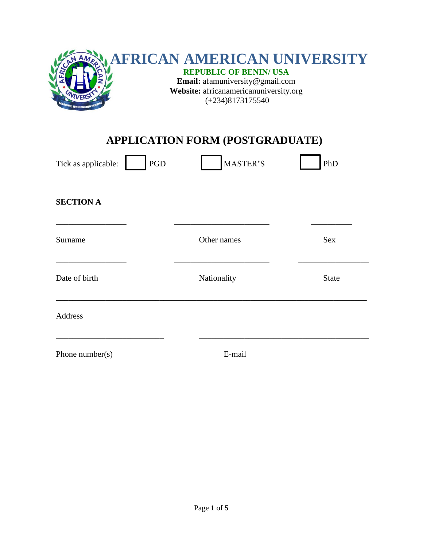

# **APPLICATION FORM (POSTGRADUATE)**

| PGD<br>Tick as applicable: | <b>MASTER'S</b> | PhD          |
|----------------------------|-----------------|--------------|
| <b>SECTION A</b>           |                 |              |
| Surname                    | Other names     | Sex          |
| Date of birth              | Nationality     | <b>State</b> |
| <b>Address</b>             |                 |              |
| Phone number( $s$ )        | E-mail          |              |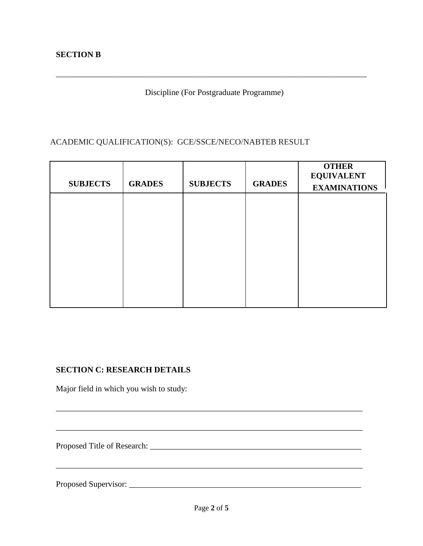Discipline (For Postgraduate Programme)

\_\_\_\_\_\_\_\_\_\_\_\_\_\_\_\_\_\_\_\_\_\_\_\_\_\_\_\_\_\_\_\_\_\_\_\_\_\_\_\_\_\_\_\_\_\_\_\_\_\_\_\_\_\_\_\_\_\_\_\_\_\_\_\_\_\_\_\_\_\_\_\_\_\_\_

### ACADEMIC QUALIFICATION(S): GCE/SSCE/NECO/NABTEB RESULT

| <b>SUBJECTS</b> | <b>GRADES</b> | <b>SUBJECTS</b> | <b>GRADES</b> | <b>OTHER</b><br><b>EQUIVALENT</b><br><b>EXAMINATIONS</b> |
|-----------------|---------------|-----------------|---------------|----------------------------------------------------------|
|                 |               |                 |               |                                                          |
|                 |               |                 |               |                                                          |
|                 |               |                 |               |                                                          |
|                 |               |                 |               |                                                          |
|                 |               |                 |               |                                                          |
|                 |               |                 |               |                                                          |

#### **SECTION C: RESEARCH DETAILS**

Major field in which you wish to study:

Proposed Title of Research: \_\_\_\_\_\_\_\_\_\_\_\_\_\_\_\_\_\_\_\_\_\_\_\_\_\_\_\_\_\_\_\_\_\_\_\_\_\_\_\_\_\_\_\_\_\_\_\_\_\_\_

Proposed Supervisor: \_\_\_\_\_\_\_\_\_\_\_\_\_\_\_\_\_\_\_\_\_\_\_\_\_\_\_\_\_\_\_\_\_\_\_\_\_\_\_\_\_\_\_\_\_\_\_\_\_\_\_\_\_\_\_\_

\_\_\_\_\_\_\_\_\_\_\_\_\_\_\_\_\_\_\_\_\_\_\_\_\_\_\_\_\_\_\_\_\_\_\_\_\_\_\_\_\_\_\_\_\_\_\_\_\_\_\_\_\_\_\_\_\_\_\_\_\_\_\_\_\_\_\_\_\_\_\_\_\_\_

\_\_\_\_\_\_\_\_\_\_\_\_\_\_\_\_\_\_\_\_\_\_\_\_\_\_\_\_\_\_\_\_\_\_\_\_\_\_\_\_\_\_\_\_\_\_\_\_\_\_\_\_\_\_\_\_\_\_\_\_\_\_\_\_\_\_\_\_\_\_\_\_\_\_

 $\mathcal{L}_\mathcal{L} = \{ \mathcal{L}_\mathcal{L} = \{ \mathcal{L}_\mathcal{L} = \{ \mathcal{L}_\mathcal{L} = \{ \mathcal{L}_\mathcal{L} = \{ \mathcal{L}_\mathcal{L} = \{ \mathcal{L}_\mathcal{L} = \{ \mathcal{L}_\mathcal{L} = \{ \mathcal{L}_\mathcal{L} = \{ \mathcal{L}_\mathcal{L} = \{ \mathcal{L}_\mathcal{L} = \{ \mathcal{L}_\mathcal{L} = \{ \mathcal{L}_\mathcal{L} = \{ \mathcal{L}_\mathcal{L} = \{ \mathcal{L}_\mathcal{$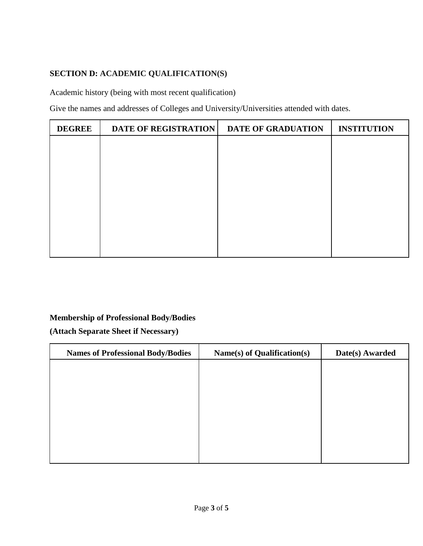## **SECTION D: ACADEMIC QUALIFICATION(S)**

Academic history (being with most recent qualification)

Give the names and addresses of Colleges and University/Universities attended with dates.

| <b>DEGREE</b> | <b>DATE OF REGISTRATION</b> | <b>DATE OF GRADUATION</b> | <b>INSTITUTION</b> |
|---------------|-----------------------------|---------------------------|--------------------|
|               |                             |                           |                    |
|               |                             |                           |                    |
|               |                             |                           |                    |
|               |                             |                           |                    |
|               |                             |                           |                    |
|               |                             |                           |                    |
|               |                             |                           |                    |
|               |                             |                           |                    |

#### **Membership of Professional Body/Bodies**

**(Attach Separate Sheet if Necessary)**

| <b>Names of Professional Body/Bodies</b> | Name(s) of Qualification(s) | Date(s) Awarded |
|------------------------------------------|-----------------------------|-----------------|
|                                          |                             |                 |
|                                          |                             |                 |
|                                          |                             |                 |
|                                          |                             |                 |
|                                          |                             |                 |
|                                          |                             |                 |
|                                          |                             |                 |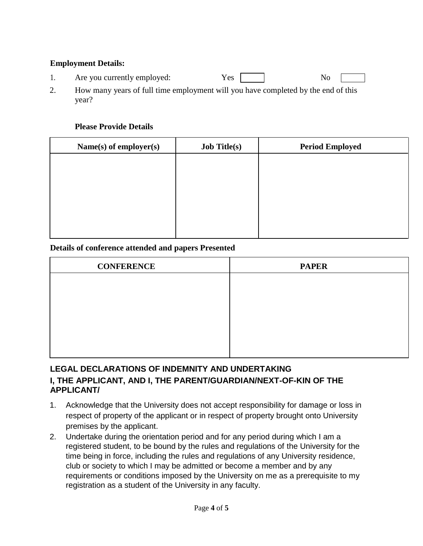#### **Employment Details:**

- 1. Are you currently employed: Yes Yes No
- 2. How many years of full time employment will you have completed by the end of this year?

#### **Please Provide Details**

| Name(s) of employer(s) | <b>Job Title(s)</b> | <b>Period Employed</b> |
|------------------------|---------------------|------------------------|
|                        |                     |                        |
|                        |                     |                        |
|                        |                     |                        |
|                        |                     |                        |
|                        |                     |                        |
|                        |                     |                        |

#### **Details of conference attended and papers Presented**

| <b>CONFERENCE</b> | <b>PAPER</b> |
|-------------------|--------------|
|                   |              |
|                   |              |
|                   |              |
|                   |              |
|                   |              |
|                   |              |

## **LEGAL DECLARATIONS OF INDEMNITY AND UNDERTAKING I, THE APPLICANT, AND I, THE PARENT/GUARDIAN/NEXT-OF-KIN OF THE APPLICANT/**

- 1. Acknowledge that the University does not accept responsibility for damage or loss in respect of property of the applicant or in respect of property brought onto University premises by the applicant.
- 2. Undertake during the orientation period and for any period during which I am a registered student, to be bound by the rules and regulations of the University for the time being in force, including the rules and regulations of any University residence, club or society to which I may be admitted or become a member and by any requirements or conditions imposed by the University on me as a prerequisite to my registration as a student of the University in any faculty.